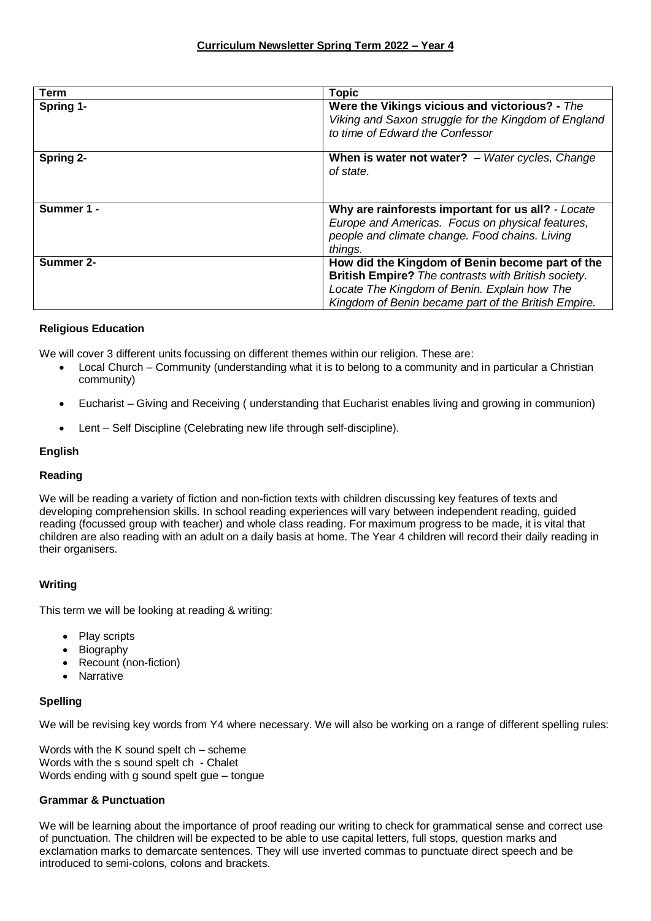| Term             | <b>Topic</b>                                                                                                                                                                                                  |
|------------------|---------------------------------------------------------------------------------------------------------------------------------------------------------------------------------------------------------------|
| Spring 1-        | Were the Vikings vicious and victorious? - The<br>Viking and Saxon struggle for the Kingdom of England<br>to time of Edward the Confessor                                                                     |
| Spring 2-        | When is water not water? $-$ Water cycles, Change<br>of state.                                                                                                                                                |
| Summer 1 -       | Why are rainforests important for us all? - Locate<br>Europe and Americas. Focus on physical features,<br>people and climate change. Food chains. Living<br>things.                                           |
| <b>Summer 2-</b> | How did the Kingdom of Benin become part of the<br>British Empire? The contrasts with British society.<br>Locate The Kingdom of Benin. Explain how The<br>Kingdom of Benin became part of the British Empire. |

# **Religious Education**

We will cover 3 different units focussing on different themes within our religion. These are:

- Local Church Community (understanding what it is to belong to a community and in particular a Christian community)
- Eucharist Giving and Receiving ( understanding that Eucharist enables living and growing in communion)
- Lent Self Discipline (Celebrating new life through self-discipline).

# **English**

### **Reading**

We will be reading a variety of fiction and non-fiction texts with children discussing key features of texts and developing comprehension skills. In school reading experiences will vary between independent reading, guided reading (focussed group with teacher) and whole class reading. For maximum progress to be made, it is vital that children are also reading with an adult on a daily basis at home. The Year 4 children will record their daily reading in their organisers.

# **Writing**

This term we will be looking at reading & writing:

- Play scripts
- Biography
- Recount (non-fiction)
- Narrative

# **Spelling**

We will be revising key words from Y4 where necessary. We will also be working on a range of different spelling rules:

Words with the K sound spelt ch – scheme Words with the s sound spelt ch - Chalet Words ending with g sound spelt gue – tongue

### **Grammar & Punctuation**

We will be learning about the importance of proof reading our writing to check for grammatical sense and correct use of punctuation. The children will be expected to be able to use capital letters, full stops, question marks and exclamation marks to demarcate sentences. They will use inverted commas to punctuate direct speech and be introduced to semi-colons, colons and brackets.